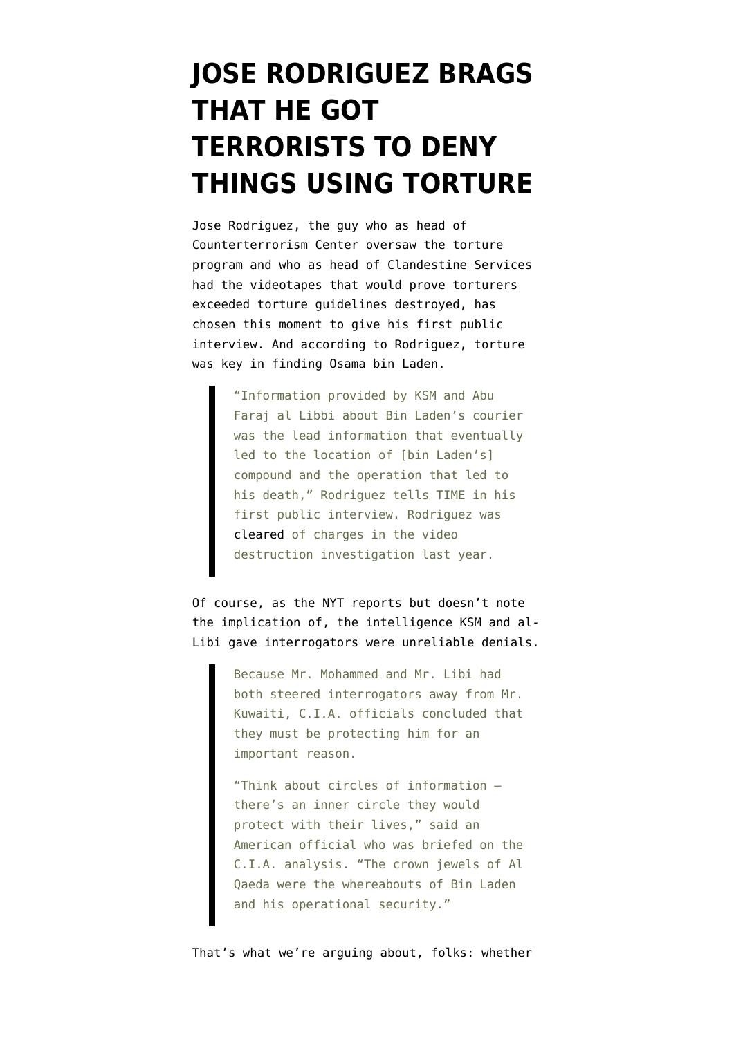## **[JOSE RODRIGUEZ BRAGS](https://www.emptywheel.net/2011/05/04/jose-rodriguez-brags-that-he-got-terrorists-to-deny-things-using-torture/) [THAT HE GOT](https://www.emptywheel.net/2011/05/04/jose-rodriguez-brags-that-he-got-terrorists-to-deny-things-using-torture/) [TERRORISTS TO DENY](https://www.emptywheel.net/2011/05/04/jose-rodriguez-brags-that-he-got-terrorists-to-deny-things-using-torture/) [THINGS USING TORTURE](https://www.emptywheel.net/2011/05/04/jose-rodriguez-brags-that-he-got-terrorists-to-deny-things-using-torture/)**

Jose Rodriguez, the guy who as head of Counterterrorism Center oversaw the torture program and who as head of Clandestine Services had the videotapes that would prove torturers exceeded torture guidelines destroyed, has chosen this moment to give [his first public](http://swampland.time.com/2011/05/04/did-torture-get-the-us-osama-bin-laden/) [interview.](http://swampland.time.com/2011/05/04/did-torture-get-the-us-osama-bin-laden/) And according to Rodriguez, torture was key in finding Osama bin Laden.

> "Information provided by KSM and Abu Faraj al Libbi about Bin Laden's courier was the lead information that eventually led to the location of [bin Laden's] compound and the operation that led to his death," Rodriguez tells TIME in his first public interview. Rodriguez was [cleared o](http://www.washingtonpost.com/wp-dyn/content/article/2010/11/09/AR2010110904106.html)f charges in the video destruction investigation last year.

Of course, as the NYT [reports](https://www.nytimes.com/2011/05/04/us/politics/04torture.html) but doesn't note the implication of, the intelligence KSM and al-Libi gave interrogators were unreliable denials.

> Because Mr. Mohammed and Mr. Libi had both steered interrogators away from Mr. Kuwaiti, C.I.A. officials concluded that they must be protecting him for an important reason.

> "Think about circles of information there's an inner circle they would protect with their lives," said an American official who was briefed on the C.I.A. analysis. "The crown jewels of Al Qaeda were the whereabouts of Bin Laden and his operational security."

That's what we're arguing about, folks: whether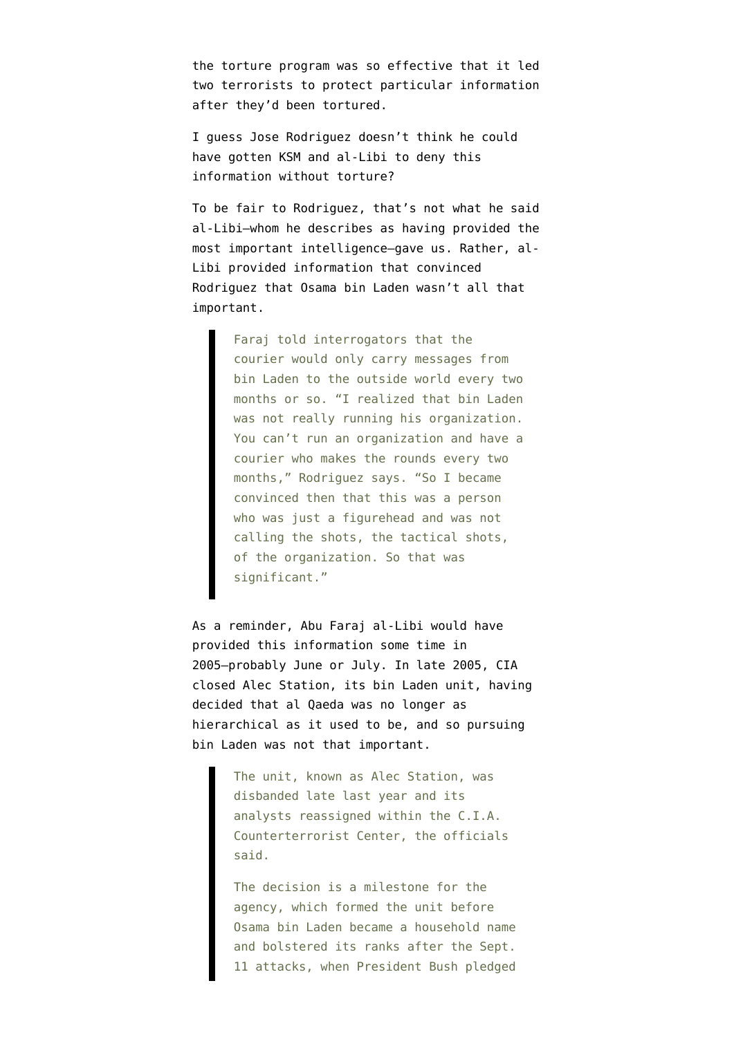the torture program was so effective that it led two terrorists to protect particular information after they'd been tortured.

I guess Jose Rodriguez doesn't think he could have gotten KSM and al-Libi to deny this information without torture?

To be fair to Rodriguez, that's not what he said al-Libi–whom he describes as having provided the most important intelligence–gave us. Rather, al-Libi provided information that convinced Rodriguez that Osama bin Laden wasn't all that important.

> Faraj told interrogators that the courier would only carry messages from bin Laden to the outside world every two months or so. "I realized that bin Laden was not really running his organization. You can't run an organization and have a courier who makes the rounds every two months," Rodriguez says. "So I became convinced then that this was a person who was just a figurehead and was not calling the shots, the tactical shots, of the organization. So that was significant."

As a reminder, Abu Faraj al-Libi would have provided this information some time in 2005–probably June or July. In late 2005, CIA [closed Alec Station](https://www.nytimes.com/2006/07/04/washington/04intel.html), its bin Laden unit, having decided that al Qaeda was no longer as hierarchical as it used to be, and so pursuing bin Laden was not that important.

> The unit, known as Alec Station, was disbanded late last year and its analysts reassigned within the C.I.A. Counterterrorist Center, the officials said.

The decision is a milestone for the agency, which formed the unit before Osama bin Laden became a household name and bolstered its ranks after the Sept. 11 attacks, when President Bush pledged